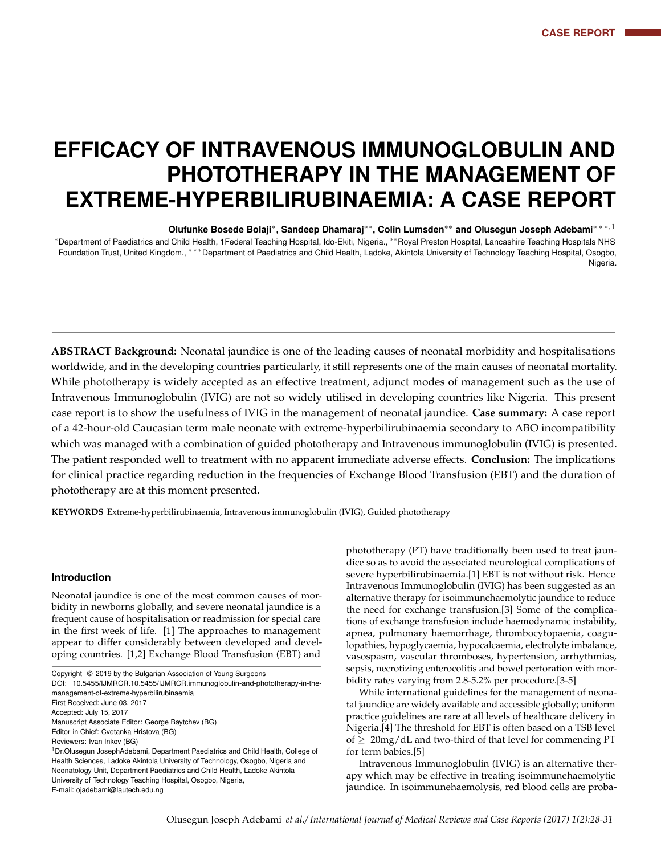# **EFFICACY OF INTRAVENOUS IMMUNOGLOBULIN AND PHOTOTHERAPY IN THE MANAGEMENT OF EXTREME-HYPERBILIRUBINAEMIA: A CASE REPORT**

**Olufunke Bosede Bolaji**<sup>∗</sup> **, Sandeep Dhamaraj**∗∗ **, Colin Lumsden**∗∗ **and Olusegun Joseph Adebami**∗ ∗ ∗, 1 <sup>∗</sup>Department of Paediatrics and Child Health, 1Federal Teaching Hospital, Ido-Ekiti, Nigeria., ∗∗Royal Preston Hospital, Lancashire Teaching Hospitals NHS Foundation Trust, United Kingdom., \*\*\*Department of Paediatrics and Child Health, Ladoke, Akintola University of Technology Teaching Hospital, Osogbo, Nigeria.

**ABSTRACT Background:** Neonatal jaundice is one of the leading causes of neonatal morbidity and hospitalisations worldwide, and in the developing countries particularly, it still represents one of the main causes of neonatal mortality. While phototherapy is widely accepted as an effective treatment, adjunct modes of management such as the use of Intravenous Immunoglobulin (IVIG) are not so widely utilised in developing countries like Nigeria. This present case report is to show the usefulness of IVIG in the management of neonatal jaundice. **Case summary:** A case report of a 42-hour-old Caucasian term male neonate with extreme-hyperbilirubinaemia secondary to ABO incompatibility which was managed with a combination of guided phototherapy and Intravenous immunoglobulin (IVIG) is presented. The patient responded well to treatment with no apparent immediate adverse effects. **Conclusion:** The implications for clinical practice regarding reduction in the frequencies of Exchange Blood Transfusion (EBT) and the duration of phototherapy are at this moment presented.

**KEYWORDS** Extreme-hyperbilirubinaemia, Intravenous immunoglobulin (IVIG), Guided phototherapy

#### **Introduction**

Neonatal jaundice is one of the most common causes of morbidity in newborns globally, and severe neonatal jaundice is a frequent cause of hospitalisation or readmission for special care in the first week of life. [1] The approaches to management appear to differ considerably between developed and developing countries. [1,2] Exchange Blood Transfusion (EBT) and

E-mail: ojadebami@lautech.edu.ng

phototherapy (PT) have traditionally been used to treat jaundice so as to avoid the associated neurological complications of severe hyperbilirubinaemia.[1] EBT is not without risk. Hence Intravenous Immunoglobulin (IVIG) has been suggested as an alternative therapy for isoimmunehaemolytic jaundice to reduce the need for exchange transfusion.[3] Some of the complications of exchange transfusion include haemodynamic instability, apnea, pulmonary haemorrhage, thrombocytopaenia, coagulopathies, hypoglycaemia, hypocalcaemia, electrolyte imbalance, vasospasm, vascular thromboses, hypertension, arrhythmias, sepsis, necrotizing enterocolitis and bowel perforation with morbidity rates varying from 2.8-5.2% per procedure.[3-5]

While international guidelines for the management of neonatal jaundice are widely available and accessible globally; uniform practice guidelines are rare at all levels of healthcare delivery in Nigeria.[4] The threshold for EBT is often based on a TSB level of  $\geq 20$ mg/dL and two-third of that level for commencing PT for term babies.[5]

Intravenous Immunoglobulin (IVIG) is an alternative therapy which may be effective in treating isoimmunehaemolytic jaundice. In isoimmunehaemolysis, red blood cells are proba-

Copyright © 2019 by the Bulgarian Association of Young Surgeons

DOI: 10.5455/IJMRCR.10.5455/IJMRCR.immunoglobulin-and-phototherapy-in-themanagement-of-extreme-hyperbilirubinaemia First Received: June 03, 2017

Accepted: July 15, 2017

Manuscript Associate Editor: George Baytchev (BG)

Editor-in Chief: Cvetanka Hristova (BG)

Reviewers: Ivan Inkov (BG)

<sup>&</sup>lt;sup>1</sup> Dr.Olusegun JosephAdebami, Department Paediatrics and Child Health, College of Health Sciences, Ladoke Akintola University of Technology, Osogbo, Nigeria and Neonatology Unit, Department Paediatrics and Child Health, Ladoke Akintola University of Technology Teaching Hospital, Osogbo, Nigeria,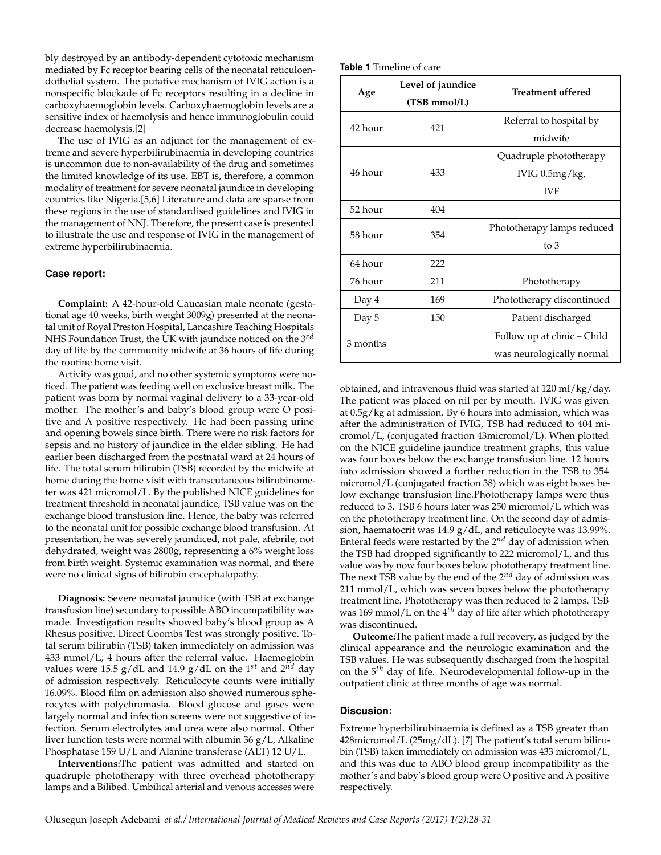bly destroyed by an antibody-dependent cytotoxic mechanism mediated by Fc receptor bearing cells of the neonatal reticuloendothelial system. The putative mechanism of IVIG action is a nonspecific blockade of Fc receptors resulting in a decline in carboxyhaemoglobin levels. Carboxyhaemoglobin levels are a sensitive index of haemolysis and hence immunoglobulin could decrease haemolysis.[2]

The use of IVIG as an adjunct for the management of extreme and severe hyperbilirubinaemia in developing countries is uncommon due to non-availability of the drug and sometimes the limited knowledge of its use. EBT is, therefore, a common modality of treatment for severe neonatal jaundice in developing countries like Nigeria.[5,6] Literature and data are sparse from these regions in the use of standardised guidelines and IVIG in the management of NNJ. Therefore, the present case is presented to illustrate the use and response of IVIG in the management of extreme hyperbilirubinaemia.

## **Case report:**

**Complaint:** A 42-hour-old Caucasian male neonate (gestational age 40 weeks, birth weight 3009g) presented at the neonatal unit of Royal Preston Hospital, Lancashire Teaching Hospitals NHS Foundation Trust, the UK with jaundice noticed on the 3<sup>rd</sup> day of life by the community midwife at 36 hours of life during the routine home visit.

Activity was good, and no other systemic symptoms were noticed. The patient was feeding well on exclusive breast milk. The patient was born by normal vaginal delivery to a 33-year-old mother. The mother's and baby's blood group were O positive and A positive respectively. He had been passing urine and opening bowels since birth. There were no risk factors for sepsis and no history of jaundice in the elder sibling. He had earlier been discharged from the postnatal ward at 24 hours of life. The total serum bilirubin (TSB) recorded by the midwife at home during the home visit with transcutaneous bilirubinometer was 421 micromol/L. By the published NICE guidelines for treatment threshold in neonatal jaundice, TSB value was on the exchange blood transfusion line. Hence, the baby was referred to the neonatal unit for possible exchange blood transfusion. At presentation, he was severely jaundiced, not pale, afebrile, not dehydrated, weight was 2800g, representing a 6% weight loss from birth weight. Systemic examination was normal, and there were no clinical signs of bilirubin encephalopathy.

**Diagnosis:** Severe neonatal jaundice (with TSB at exchange transfusion line) secondary to possible ABO incompatibility was made. Investigation results showed baby's blood group as A Rhesus positive. Direct Coombs Test was strongly positive. Total serum bilirubin (TSB) taken immediately on admission was 433 mmol/L; 4 hours after the referral value. Haemoglobin values were 15.5  $g/dL$  and 14.9  $g/dL$  on the 1<sup>st</sup> and 2<sup>nd</sup> day of admission respectively. Reticulocyte counts were initially 16.09%. Blood film on admission also showed numerous spherocytes with polychromasia. Blood glucose and gases were largely normal and infection screens were not suggestive of infection. Serum electrolytes and urea were also normal. Other liver function tests were normal with albumin 36 g/L, Alkaline Phosphatase 159 U/L and Alanine transferase (ALT) 12 U/L.

**Interventions:**The patient was admitted and started on quadruple phototherapy with three overhead phototherapy lamps and a Bilibed. Umbilical arterial and venous accesses were

| Age      | Level of jaundice<br>(TSB mmol/L) | <b>Treatment offered</b>    |
|----------|-----------------------------------|-----------------------------|
| 42 hour  | 421                               | Referral to hospital by     |
|          |                                   | midwife                     |
| 46 hour  | 433                               | Quadruple phototherapy      |
|          |                                   | IVIG $0.5mg/kg$ ,           |
|          |                                   | <b>IVF</b>                  |
| 52 hour  | 404                               |                             |
| 58 hour  | 354                               | Phototherapy lamps reduced  |
|          |                                   | $\frac{1}{2}$               |
| 64 hour  | 222                               |                             |
| 76 hour  | 211                               | Phototherapy                |
| Day 4    | 169                               | Phototherapy discontinued   |
| Day 5    | 150                               | Patient discharged          |
| 3 months |                                   | Follow up at clinic – Child |
|          |                                   | was neurologically normal   |

obtained, and intravenous fluid was started at 120 ml/kg/day. The patient was placed on nil per by mouth. IVIG was given at 0.5g/kg at admission. By 6 hours into admission, which was after the administration of IVIG, TSB had reduced to 404 micromol/L, (conjugated fraction 43micromol/L). When plotted on the NICE guideline jaundice treatment graphs, this value was four boxes below the exchange transfusion line. 12 hours into admission showed a further reduction in the TSB to 354 micromol/L (conjugated fraction 38) which was eight boxes below exchange transfusion line.Phototherapy lamps were thus reduced to 3. TSB 6 hours later was 250 micromol/L which was on the phototherapy treatment line. On the second day of admission, haematocrit was 14.9 g/dL, and reticulocyte was 13.99%. Enteral feeds were restarted by the 2*nd* day of admission when the TSB had dropped significantly to 222 micromol/L, and this value was by now four boxes below phototherapy treatment line. The next TSB value by the end of the 2*nd* day of admission was 211 mmol/L, which was seven boxes below the phototherapy treatment line. Phototherapy was then reduced to 2 lamps. TSB was 169 mmol/L on the  $4^{th}$  day of life after which phototherapy was discontinued.

**Outcome:**The patient made a full recovery, as judged by the clinical appearance and the neurologic examination and the TSB values. He was subsequently discharged from the hospital on the 5<sup>th</sup> day of life. Neurodevelopmental follow-up in the outpatient clinic at three months of age was normal.

# **Discusion:**

Extreme hyperbilirubinaemia is defined as a TSB greater than 428micromol/L (25mg/dL). [7] The patient's total serum bilirubin (TSB) taken immediately on admission was 433 micromol/L, and this was due to ABO blood group incompatibility as the mother's and baby's blood group were O positive and A positive respectively.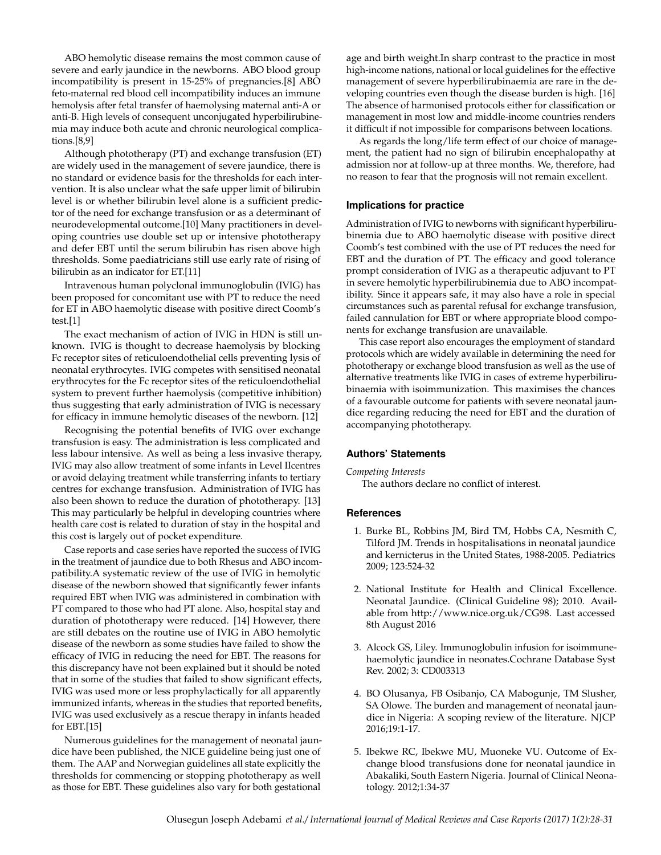ABO hemolytic disease remains the most common cause of severe and early jaundice in the newborns. ABO blood group incompatibility is present in 15-25% of pregnancies.[8] ABO feto-maternal red blood cell incompatibility induces an immune hemolysis after fetal transfer of haemolysing maternal anti-A or anti-B. High levels of consequent unconjugated hyperbilirubinemia may induce both acute and chronic neurological complications.[8,9]

Although phototherapy (PT) and exchange transfusion (ET) are widely used in the management of severe jaundice, there is no standard or evidence basis for the thresholds for each intervention. It is also unclear what the safe upper limit of bilirubin level is or whether bilirubin level alone is a sufficient predictor of the need for exchange transfusion or as a determinant of neurodevelopmental outcome.[10] Many practitioners in developing countries use double set up or intensive phototherapy and defer EBT until the serum bilirubin has risen above high thresholds. Some paediatricians still use early rate of rising of bilirubin as an indicator for ET.[11]

Intravenous human polyclonal immunoglobulin (IVIG) has been proposed for concomitant use with PT to reduce the need for ET in ABO haemolytic disease with positive direct Coomb's test.[1]

The exact mechanism of action of IVIG in HDN is still unknown. IVIG is thought to decrease haemolysis by blocking Fc receptor sites of reticuloendothelial cells preventing lysis of neonatal erythrocytes. IVIG competes with sensitised neonatal erythrocytes for the Fc receptor sites of the reticuloendothelial system to prevent further haemolysis (competitive inhibition) thus suggesting that early administration of IVIG is necessary for efficacy in immune hemolytic diseases of the newborn. [12]

Recognising the potential benefits of IVIG over exchange transfusion is easy. The administration is less complicated and less labour intensive. As well as being a less invasive therapy, IVIG may also allow treatment of some infants in Level IIcentres or avoid delaying treatment while transferring infants to tertiary centres for exchange transfusion. Administration of IVIG has also been shown to reduce the duration of phototherapy. [13] This may particularly be helpful in developing countries where health care cost is related to duration of stay in the hospital and this cost is largely out of pocket expenditure.

Case reports and case series have reported the success of IVIG in the treatment of jaundice due to both Rhesus and ABO incompatibility.A systematic review of the use of IVIG in hemolytic disease of the newborn showed that significantly fewer infants required EBT when IVIG was administered in combination with PT compared to those who had PT alone. Also, hospital stay and duration of phototherapy were reduced. [14] However, there are still debates on the routine use of IVIG in ABO hemolytic disease of the newborn as some studies have failed to show the efficacy of IVIG in reducing the need for EBT. The reasons for this discrepancy have not been explained but it should be noted that in some of the studies that failed to show significant effects, IVIG was used more or less prophylactically for all apparently immunized infants, whereas in the studies that reported benefits, IVIG was used exclusively as a rescue therapy in infants headed for EBT.[15]

Numerous guidelines for the management of neonatal jaundice have been published, the NICE guideline being just one of them. The AAP and Norwegian guidelines all state explicitly the thresholds for commencing or stopping phototherapy as well as those for EBT. These guidelines also vary for both gestational

age and birth weight.In sharp contrast to the practice in most high-income nations, national or local guidelines for the effective management of severe hyperbilirubinaemia are rare in the developing countries even though the disease burden is high. [16] The absence of harmonised protocols either for classification or management in most low and middle-income countries renders it difficult if not impossible for comparisons between locations.

As regards the long/life term effect of our choice of management, the patient had no sign of bilirubin encephalopathy at admission nor at follow-up at three months. We, therefore, had no reason to fear that the prognosis will not remain excellent.

## **Implications for practice**

Administration of IVIG to newborns with significant hyperbilirubinemia due to ABO haemolytic disease with positive direct Coomb's test combined with the use of PT reduces the need for EBT and the duration of PT. The efficacy and good tolerance prompt consideration of IVIG as a therapeutic adjuvant to PT in severe hemolytic hyperbilirubinemia due to ABO incompatibility. Since it appears safe, it may also have a role in special circumstances such as parental refusal for exchange transfusion, failed cannulation for EBT or where appropriate blood components for exchange transfusion are unavailable.

This case report also encourages the employment of standard protocols which are widely available in determining the need for phototherapy or exchange blood transfusion as well as the use of alternative treatments like IVIG in cases of extreme hyperbilirubinaemia with isoimmunization. This maximises the chances of a favourable outcome for patients with severe neonatal jaundice regarding reducing the need for EBT and the duration of accompanying phototherapy.

#### **Authors' Statements**

#### *Competing Interests*

The authors declare no conflict of interest.

## **References**

- 1. Burke BL, Robbins JM, Bird TM, Hobbs CA, Nesmith C, Tilford JM. Trends in hospitalisations in neonatal jaundice and kernicterus in the United States, 1988-2005. Pediatrics 2009; 123:524-32
- 2. National Institute for Health and Clinical Excellence. Neonatal Jaundice. (Clinical Guideline 98); 2010. Available from http://www.nice.org.uk/CG98. Last accessed 8th August 2016
- 3. Alcock GS, Liley. Immunoglobulin infusion for isoimmunehaemolytic jaundice in neonates.Cochrane Database Syst Rev. 2002; 3: CD003313
- 4. BO Olusanya, FB Osibanjo, CA Mabogunje, TM Slusher, SA Olowe. The burden and management of neonatal jaundice in Nigeria: A scoping review of the literature. NJCP 2016;19:1-17.
- 5. Ibekwe RC, Ibekwe MU, Muoneke VU. Outcome of Exchange blood transfusions done for neonatal jaundice in Abakaliki, South Eastern Nigeria. Journal of Clinical Neonatology. 2012;1:34-37